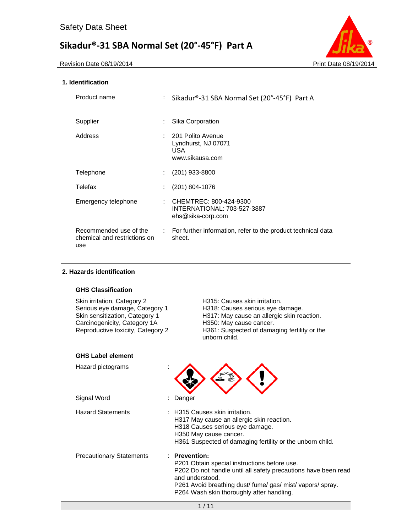

# **1. Identification**

| Product name                                                  | ÷ | Sikadur®-31 SBA Normal Set (20°-45°F) Part A                                |
|---------------------------------------------------------------|---|-----------------------------------------------------------------------------|
| Supplier                                                      |   | Sika Corporation                                                            |
| Address                                                       |   | : 201 Polito Avenue<br>Lyndhurst, NJ 07071<br><b>USA</b><br>www.sikausa.com |
| Telephone                                                     |   | (201) 933-8800                                                              |
| Telefax                                                       |   | $(201)$ 804-1076                                                            |
| Emergency telephone                                           | ÷ | CHEMTREC: 800-424-9300<br>INTERNATIONAL: 703-527-3887<br>ehs@sika-corp.com  |
| Recommended use of the<br>chemical and restrictions on<br>use |   | : For further information, refer to the product technical data<br>sheet.    |

# **2. Hazards identification**

# **GHS Classification**

| H315: Causes skin irritation.<br>H318: Causes serious eye damage.<br>H317: May cause an allergic skin reaction.<br>H350: May cause cancer.<br>H361: Suspected of damaging fertility or the<br>unborn child.                                              |
|----------------------------------------------------------------------------------------------------------------------------------------------------------------------------------------------------------------------------------------------------------|
|                                                                                                                                                                                                                                                          |
|                                                                                                                                                                                                                                                          |
| Danger                                                                                                                                                                                                                                                   |
| : H315 Causes skin irritation.<br>H317 May cause an allergic skin reaction.<br>H318 Causes serious eye damage.<br>H350 May cause cancer.<br>H361 Suspected of damaging fertility or the unborn child.                                                    |
| : Prevention:<br>P201 Obtain special instructions before use.<br>P202 Do not handle until all safety precautions have been read<br>and understood.<br>P261 Avoid breathing dust/fume/gas/mist/vapors/spray.<br>P264 Wash skin thoroughly after handling. |
|                                                                                                                                                                                                                                                          |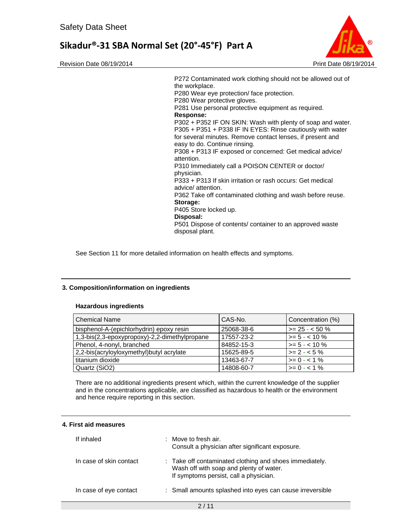Revision Date 08/19/2014 **Print Date 08/19/2014** Print Date 08/19/2014



P272 Contaminated work clothing should not be allowed out of the workplace. P280 Wear eye protection/ face protection. P280 Wear protective gloves. P281 Use personal protective equipment as required. **Response:**  P302 + P352 IF ON SKIN: Wash with plenty of soap and water. P305 + P351 + P338 IF IN EYES: Rinse cautiously with water for several minutes. Remove contact lenses, if present and easy to do. Continue rinsing. P308 + P313 IF exposed or concerned: Get medical advice/ attention. P310 Immediately call a POISON CENTER or doctor/ physician. P333 + P313 If skin irritation or rash occurs: Get medical advice/ attention. P362 Take off contaminated clothing and wash before reuse. **Storage:**  P405 Store locked up. **Disposal:**  P501 Dispose of contents/ container to an approved waste disposal plant.

See Section 11 for more detailed information on health effects and symptoms.

## **3. Composition/information on ingredients**

## **Hazardous ingredients**

| <b>Chemical Name</b>                          | CAS-No.    | Concentration (%)      |
|-----------------------------------------------|------------|------------------------|
| bisphenol-A-(epichlorhydrin) epoxy resin      | 25068-38-6 | $\vert$ >= 25 - < 50 % |
| 1,3-bis(2,3-epoxypropoxy)-2,2-dimethylpropane | 17557-23-2 | $\ge$ = 5 - < 10 %     |
| Phenol, 4-nonyl, branched                     | 84852-15-3 | $\ge$ = 5 - < 10 %     |
| 2,2-bis(acryloyloxymethyl) butyl acrylate     | 15625-89-5 | $>= 2 - 5\%$           |
| titanium dioxide                              | 13463-67-7 | $>= 0 - 1\%$           |
| Quartz (SiO2)                                 | 14808-60-7 | $>= 0 - 1\%$           |

There are no additional ingredients present which, within the current knowledge of the supplier and in the concentrations applicable, are classified as hazardous to health or the environment and hence require reporting in this section.

# **4. First aid measures**

| If inhaled              | $\therefore$ Move to fresh air.<br>Consult a physician after significant exposure.                                                           |
|-------------------------|----------------------------------------------------------------------------------------------------------------------------------------------|
| In case of skin contact | : Take off contaminated clothing and shoes immediately.<br>Wash off with soap and plenty of water.<br>If symptoms persist, call a physician. |
| In case of eye contact  | : Small amounts splashed into eyes can cause irreversible                                                                                    |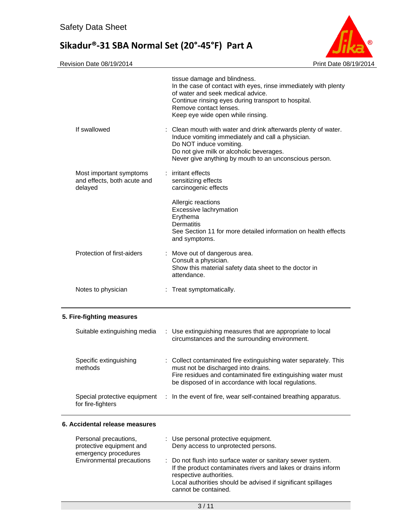

Revision Date 08/19/2014 **Print Date 08/19/2014** 

—

|                                                                           | tissue damage and blindness.<br>In the case of contact with eyes, rinse immediately with plenty<br>of water and seek medical advice.<br>Continue rinsing eyes during transport to hospital.<br>Remove contact lenses.<br>Keep eye wide open while rinsing. |
|---------------------------------------------------------------------------|------------------------------------------------------------------------------------------------------------------------------------------------------------------------------------------------------------------------------------------------------------|
| If swallowed                                                              | : Clean mouth with water and drink afterwards plenty of water.<br>Induce vomiting immediately and call a physician.<br>Do NOT induce vomiting.<br>Do not give milk or alcoholic beverages.<br>Never give anything by mouth to an unconscious person.       |
| Most important symptoms<br>and effects, both acute and<br>delayed         | : irritant effects<br>sensitizing effects<br>carcinogenic effects                                                                                                                                                                                          |
|                                                                           | Allergic reactions<br>Excessive lachrymation<br>Erythema<br><b>Dermatitis</b><br>See Section 11 for more detailed information on health effects<br>and symptoms.                                                                                           |
| Protection of first-aiders                                                | : Move out of dangerous area.<br>Consult a physician.<br>Show this material safety data sheet to the doctor in<br>attendance.                                                                                                                              |
| Notes to physician                                                        | : Treat symptomatically.                                                                                                                                                                                                                                   |
| 5. Fire-fighting measures                                                 |                                                                                                                                                                                                                                                            |
| Suitable extinguishing media                                              | : Use extinguishing measures that are appropriate to local<br>circumstances and the surrounding environment.                                                                                                                                               |
| Specific extinguishing<br>methods                                         | : Collect contaminated fire extinguishing water separately. This<br>must not be discharged into drains.<br>Fire residues and contaminated fire extinguishing water must<br>be disposed of in accordance with local regulations.                            |
| Special protective equipment<br>for fire-fighters                         | In the event of fire, wear self-contained breathing apparatus.                                                                                                                                                                                             |
| 6. Accidental release measures                                            |                                                                                                                                                                                                                                                            |
| Personal precautions,<br>protective equipment and<br>emergency procedures | : Use personal protective equipment.<br>Deny access to unprotected persons.                                                                                                                                                                                |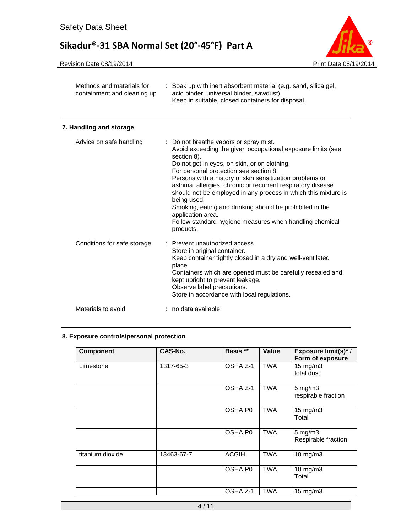

| Methods and materials for<br>containment and cleaning up | : Soak up with inert absorbent material (e.g. sand, silica gel,<br>acid binder, universal binder, sawdust).<br>Keep in suitable, closed containers for disposal.                                                                                                                                                                                                                                                                                                                                                                                                                    |  |
|----------------------------------------------------------|-------------------------------------------------------------------------------------------------------------------------------------------------------------------------------------------------------------------------------------------------------------------------------------------------------------------------------------------------------------------------------------------------------------------------------------------------------------------------------------------------------------------------------------------------------------------------------------|--|
| 7. Handling and storage                                  |                                                                                                                                                                                                                                                                                                                                                                                                                                                                                                                                                                                     |  |
| Advice on safe handling                                  | : Do not breathe vapors or spray mist.<br>Avoid exceeding the given occupational exposure limits (see<br>section 8).<br>Do not get in eyes, on skin, or on clothing.<br>For personal protection see section 8.<br>Persons with a history of skin sensitization problems or<br>asthma, allergies, chronic or recurrent respiratory disease<br>should not be employed in any process in which this mixture is<br>being used.<br>Smoking, eating and drinking should be prohibited in the<br>application area.<br>Follow standard hygiene measures when handling chemical<br>products. |  |
| Conditions for safe storage                              | Prevent unauthorized access.<br>Store in original container.<br>Keep container tightly closed in a dry and well-ventilated<br>place.<br>Containers which are opened must be carefully resealed and<br>kept upright to prevent leakage.<br>Observe label precautions.<br>Store in accordance with local regulations.                                                                                                                                                                                                                                                                 |  |
| Materials to avoid                                       | : no data available                                                                                                                                                                                                                                                                                                                                                                                                                                                                                                                                                                 |  |

# **8. Exposure controls/personal protection**

| <b>Component</b> | CAS-No.    | Basis **            | Value      | <b>Exposure limit(s)*/</b><br>Form of exposure |
|------------------|------------|---------------------|------------|------------------------------------------------|
| Limestone        | 1317-65-3  | OSHA Z-1            | <b>TWA</b> | $15 \text{ mg/m}$<br>total dust                |
|                  |            | OSHA Z-1            | TWA        | $5 \text{ mg/m}$ 3<br>respirable fraction      |
|                  |            | OSHA P <sub>0</sub> | <b>TWA</b> | $15$ mg/m $3$<br>Total                         |
|                  |            | OSHA P <sub>0</sub> | <b>TWA</b> | $5 \text{ mg/m}$ 3<br>Respirable fraction      |
| titanium dioxide | 13463-67-7 | <b>ACGIH</b>        | <b>TWA</b> | $10$ mg/m $3$                                  |
|                  |            | OSHA P0             | <b>TWA</b> | $10$ mg/m $3$<br>Total                         |
|                  |            | OSHA Z-1            | TWA        | $15 \text{ mg/m}$                              |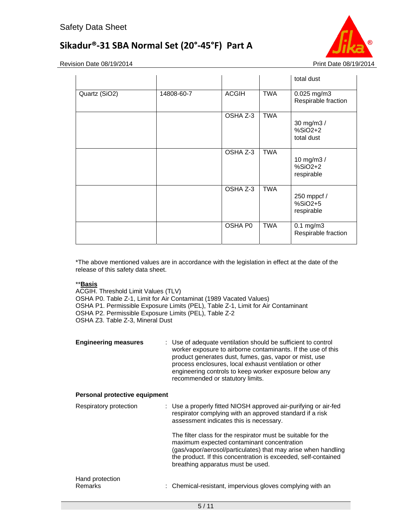

Revision Date 08/19/2014 **Print Date 08/19/2014** 

|               |            |          |            | total dust                             |
|---------------|------------|----------|------------|----------------------------------------|
| Quartz (SiO2) | 14808-60-7 | ACGIH    | <b>TWA</b> | 0.025 mg/m3<br>Respirable fraction     |
|               |            | OSHA Z-3 | <b>TWA</b> | 30 mg/m3 /<br>$%SiO2+2$<br>total dust  |
|               |            | OSHA Z-3 | <b>TWA</b> | 10 mg/m3 /<br>$%SiO2+2$<br>respirable  |
|               |            | OSHA Z-3 | <b>TWA</b> | 250 mppcf /<br>$%SiO2+5$<br>respirable |
|               |            | OSHA P0  | <b>TWA</b> | $0.1$ mg/m $3$<br>Respirable fraction  |

\*The above mentioned values are in accordance with the legislation in effect at the date of the release of this safety data sheet.

# \*\***Basis**

ACGIH. Threshold Limit Values (TLV) OSHA P0. Table Z-1, Limit for Air Contaminat (1989 Vacated Values) OSHA P1. Permissible Exposure Limits (PEL), Table Z-1, Limit for Air Contaminant OSHA P2. Permissible Exposure Limits (PEL), Table Z-2 OSHA Z3. Table Z-3, Mineral Dust

| <b>Engineering measures</b>   | : Use of adequate ventilation should be sufficient to control<br>worker exposure to airborne contaminants. If the use of this<br>product generates dust, fumes, gas, vapor or mist, use<br>process enclosures, local exhaust ventilation or other<br>engineering controls to keep worker exposure below any<br>recommended or statutory limits. |
|-------------------------------|-------------------------------------------------------------------------------------------------------------------------------------------------------------------------------------------------------------------------------------------------------------------------------------------------------------------------------------------------|
| Personal protective equipment |                                                                                                                                                                                                                                                                                                                                                 |
| Respiratory protection        | : Use a properly fitted NIOSH approved air-purifying or air-fed<br>respirator complying with an approved standard if a risk<br>assessment indicates this is necessary.                                                                                                                                                                          |
|                               | The filter class for the respirator must be suitable for the<br>maximum expected contaminant concentration<br>(gas/vapor/aerosol/particulates) that may arise when handling<br>the product. If this concentration is exceeded, self-contained<br>breathing apparatus must be used.                                                              |
| Hand protection<br>Remarks    | : Chemical-resistant, impervious gloves complying with an                                                                                                                                                                                                                                                                                       |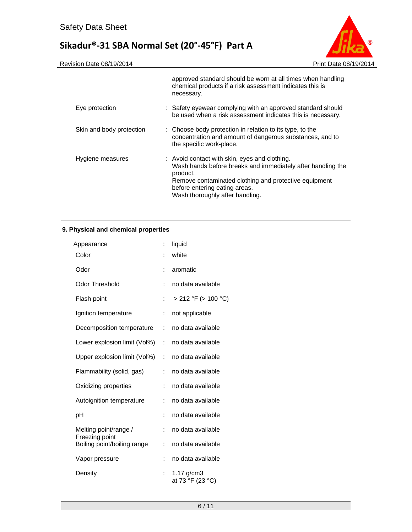

|                          | approved standard should be worn at all times when handling<br>chemical products if a risk assessment indicates this is<br>necessary.                                                                                                                 |  |
|--------------------------|-------------------------------------------------------------------------------------------------------------------------------------------------------------------------------------------------------------------------------------------------------|--|
| Eye protection           | : Safety eyewear complying with an approved standard should<br>be used when a risk assessment indicates this is necessary.                                                                                                                            |  |
| Skin and body protection | : Choose body protection in relation to its type, to the<br>concentration and amount of dangerous substances, and to<br>the specific work-place.                                                                                                      |  |
| Hygiene measures         | : Avoid contact with skin, eyes and clothing.<br>Wash hands before breaks and immediately after handling the<br>product.<br>Remove contaminated clothing and protective equipment<br>before entering eating areas.<br>Wash thoroughly after handling. |  |

# **9. Physical and chemical properties**

| Appearance                                    | İ.                   | liquid                           |
|-----------------------------------------------|----------------------|----------------------------------|
| Color                                         |                      | white                            |
| Odor                                          | ÷                    | aromatic                         |
| <b>Odor Threshold</b>                         | İ.                   | no data available                |
| Flash point                                   | ÷                    | $> 212$ °F ( $> 100$ °C)         |
| Ignition temperature                          | ÷                    | not applicable                   |
| Decomposition temperature                     | ÷                    | no data available                |
| Lower explosion limit (Vol%)                  | ÷                    | no data available                |
| Upper explosion limit (Vol%)                  | ÷                    | no data available                |
| Flammability (solid, gas)                     | ÷                    | no data available                |
| Oxidizing properties                          | ÷                    | no data available                |
| Autoignition temperature                      | $\ddot{\phantom{a}}$ | no data available                |
| рH                                            | ÷                    | no data available                |
| Melting point/range /                         | ÷                    | no data available                |
| Freezing point<br>Boiling point/boiling range | ÷                    | no data available                |
| Vapor pressure                                | t                    | no data available                |
| Density                                       |                      | 1.17 $g/cm3$<br>at 73 °F (23 °C) |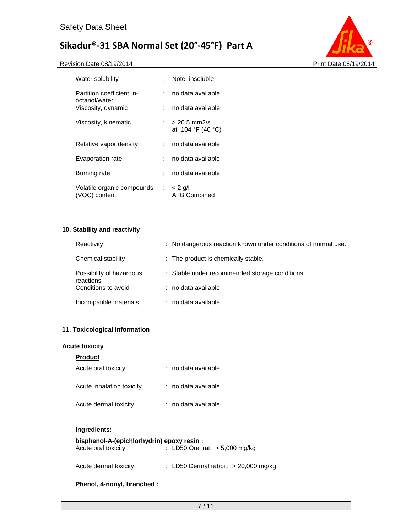



| Water solubility                            | Note: insoluble                                                    |
|---------------------------------------------|--------------------------------------------------------------------|
| Partition coefficient: n-<br>octanol/water  | no data available.                                                 |
| Viscosity, dynamic                          | no data available                                                  |
| Viscosity, kinematic                        | $> 20.5$ mm2/s<br>at $104 \text{ }^{\circ}F(40 \text{ }^{\circ}C)$ |
| Relative vapor density                      | no data available                                                  |
| Evaporation rate                            | no data available.                                                 |
| Burning rate                                | no data available                                                  |
| Volatile organic compounds<br>(VOC) content | $\therefore$ < 2 g/l<br>A+B Combined                               |

# **10. Stability and reactivity**

| Reactivity                            | : No dangerous reaction known under conditions of normal use. |
|---------------------------------------|---------------------------------------------------------------|
| Chemical stability                    | : The product is chemically stable.                           |
| Possibility of hazardous<br>reactions | : Stable under recommended storage conditions.                |
| Conditions to avoid                   | : no data available                                           |
| Incompatible materials                | : no data available                                           |

# **11. Toxicological information**

# **Acute toxicity**

# **Product**

| Acute oral toxicity       | : no data available |
|---------------------------|---------------------|
| Acute inhalation toxicity | : no data available |
| Acute dermal toxicity     | : no data available |

# **Ingredients:**

# **bisphenol-A-(epichlorhydrin) epoxy resin :**

| Acute oral toxicity | : LD50 Oral rat: $> 5,000$ mg/kg |
|---------------------|----------------------------------|
|                     |                                  |

| Acute dermal toxicity |  | : LD50 Dermal rabbit: $> 20,000$ mg/kg |  |  |
|-----------------------|--|----------------------------------------|--|--|
|-----------------------|--|----------------------------------------|--|--|

# **Phenol, 4-nonyl, branched :**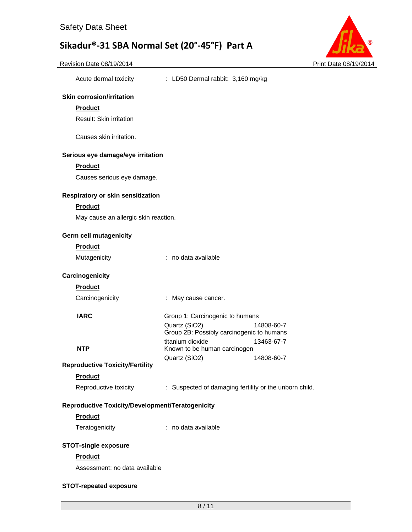Acute dermal toxicity : LD50 Dermal rabbit: 3,160 mg/kg



**Skin corrosion/irritation** 

| <b>Product</b>                                   |                                                                |
|--------------------------------------------------|----------------------------------------------------------------|
| <b>Result: Skin irritation</b>                   |                                                                |
|                                                  |                                                                |
| Causes skin irritation.                          |                                                                |
| Serious eye damage/eye irritation                |                                                                |
| <b>Product</b>                                   |                                                                |
| Causes serious eye damage.                       |                                                                |
| Respiratory or skin sensitization                |                                                                |
| <b>Product</b>                                   |                                                                |
| May cause an allergic skin reaction.             |                                                                |
|                                                  |                                                                |
| Germ cell mutagenicity                           |                                                                |
| <b>Product</b>                                   |                                                                |
| Mutagenicity                                     | : no data available                                            |
| Carcinogenicity                                  |                                                                |
| <b>Product</b>                                   |                                                                |
| Carcinogenicity                                  | : May cause cancer.                                            |
| <b>IARC</b>                                      | Group 1: Carcinogenic to humans                                |
|                                                  | Quartz (SiO2)<br>14808-60-7                                    |
|                                                  | Group 2B: Possibly carcinogenic to humans                      |
| <b>NTP</b>                                       | titanium dioxide<br>13463-67-7<br>Known to be human carcinogen |
|                                                  | Quartz (SiO2)<br>14808-60-7                                    |
| <b>Reproductive Toxicity/Fertility</b>           |                                                                |
| <b>Product</b>                                   |                                                                |
| Reproductive toxicity                            | : Suspected of damaging fertility or the unborn child.         |
| Reproductive Toxicity/Development/Teratogenicity |                                                                |
| Product                                          |                                                                |
| Teratogenicity                                   | : no data available                                            |
| <b>STOT-single exposure</b>                      |                                                                |
| <b>Product</b>                                   |                                                                |
| Assessment: no data available                    |                                                                |
| <b>STOT-repeated exposure</b>                    |                                                                |
|                                                  |                                                                |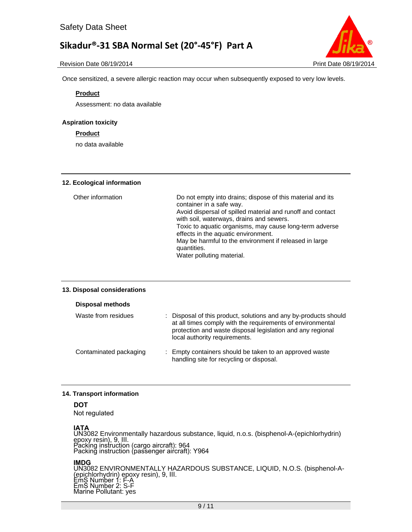



Once sensitized, a severe allergic reaction may occur when subsequently exposed to very low levels.

## **Product**

Assessment: no data available

# **Aspiration toxicity**

# **Product**

no data available

## **12. Ecological information**

| Other information | Do not empty into drains; dispose of this material and its<br>container in a safe way.<br>Avoid dispersal of spilled material and runoff and contact<br>with soil, waterways, drains and sewers.<br>Toxic to aquatic organisms, may cause long-term adverse<br>effects in the aquatic environment.<br>May be harmful to the environment if released in large<br>quantities.<br>Water polluting material. |
|-------------------|----------------------------------------------------------------------------------------------------------------------------------------------------------------------------------------------------------------------------------------------------------------------------------------------------------------------------------------------------------------------------------------------------------|
|-------------------|----------------------------------------------------------------------------------------------------------------------------------------------------------------------------------------------------------------------------------------------------------------------------------------------------------------------------------------------------------------------------------------------------------|

## **13. Disposal considerations**

## **Disposal methods**

| Waste from residues    | : Disposal of this product, solutions and any by-products should<br>at all times comply with the requirements of environmental<br>protection and waste disposal legislation and any regional<br>local authority requirements. |
|------------------------|-------------------------------------------------------------------------------------------------------------------------------------------------------------------------------------------------------------------------------|
| Contaminated packaging | : Empty containers should be taken to an approved waste<br>handling site for recycling or disposal.                                                                                                                           |

# **14. Transport information**

# **DOT**

Not regulated

**IATA**<br>UN3082 Environmentally hazardous substance, liquid, n.o.s. (bisphenol-A-(epichlorhydrin) epoxy resin), 9, III. Packing instruction (cargo aircraft): 964 Packing instruction (passenger aircraft): Y964

## **IMDG**

UN3082 ENVIRONMENTALLY HAZARDOUS SUBSTANCE, LIQUID, N.O.S. (bisphenol-A- (epichlorhydrin) epoxy resin), 9, III. EmS Number 1: E-A EmS Number 2: S-F Marine Pollutant: yes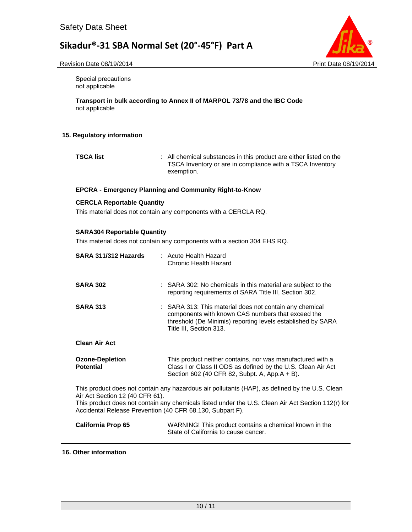

Revision Date 08/19/2014 **Print Date 08/19/2014** 

Special precautions not applicable

**Transport in bulk according to Annex II of MARPOL 73/78 and the IBC Code**  not applicable

# **15. Regulatory information**

**TSCA list** : All chemical substances in this product are either listed on the TSCA Inventory or are in compliance with a TSCA Inventory exemption.

# **EPCRA - Emergency Planning and Community Right-to-Know**

# **CERCLA Reportable Quantity**

This material does not contain any components with a CERCLA RQ.

# **SARA304 Reportable Quantity**

This material does not contain any components with a section 304 EHS RQ.

| SARA 311/312 Hazards                                                                                                                                                                                                                                                                                 | : Acute Health Hazard<br>Chronic Health Hazard                                                                                                                                                         |  |
|------------------------------------------------------------------------------------------------------------------------------------------------------------------------------------------------------------------------------------------------------------------------------------------------------|--------------------------------------------------------------------------------------------------------------------------------------------------------------------------------------------------------|--|
| <b>SARA 302</b>                                                                                                                                                                                                                                                                                      | : SARA 302: No chemicals in this material are subject to the<br>reporting requirements of SARA Title III, Section 302.                                                                                 |  |
| <b>SARA 313</b>                                                                                                                                                                                                                                                                                      | : SARA 313: This material does not contain any chemical<br>components with known CAS numbers that exceed the<br>threshold (De Minimis) reporting levels established by SARA<br>Title III, Section 313. |  |
| <b>Clean Air Act</b>                                                                                                                                                                                                                                                                                 |                                                                                                                                                                                                        |  |
| <b>Ozone-Depletion</b><br><b>Potential</b>                                                                                                                                                                                                                                                           | This product neither contains, nor was manufactured with a<br>Class I or Class II ODS as defined by the U.S. Clean Air Act<br>Section 602 (40 CFR 82, Subpt. A, App.A + B).                            |  |
| This product does not contain any hazardous air pollutants (HAP), as defined by the U.S. Clean<br>Air Act Section 12 (40 CFR 61).<br>This product does not contain any chemicals listed under the U.S. Clean Air Act Section 112(r) for<br>Accidental Release Prevention (40 CFR 68.130, Subpart F). |                                                                                                                                                                                                        |  |
| <b>California Prop 65</b>                                                                                                                                                                                                                                                                            | WARNING! This product contains a chemical known in the<br>State of California to cause cancer.                                                                                                         |  |

## **16. Other information**